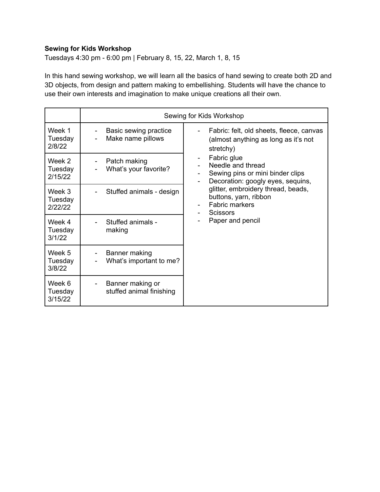## **Sewing for Kids Workshop**

Tuesdays 4:30 pm - 6:00 pm | February 8, 15, 22, March 1, 8, 15

In this hand sewing workshop, we will learn all the basics of hand sewing to create both 2D and 3D objects, from design and pattern making to embellishing. Students will have the chance to use their own interests and imagination to make unique creations all their own.

|                              | Sewing for Kids Workshop                                          |                                                                                                                                                                                                                                                            |
|------------------------------|-------------------------------------------------------------------|------------------------------------------------------------------------------------------------------------------------------------------------------------------------------------------------------------------------------------------------------------|
| Week 1<br>Tuesday<br>2/8/22  | Basic sewing practice<br>Make name pillows                        | Fabric: felt, old sheets, fleece, canvas<br>(almost anything as long as it's not<br>stretchy)                                                                                                                                                              |
| Week 2<br>Tuesday<br>2/15/22 | Patch making<br>$\overline{\phantom{0}}$<br>What's your favorite? | Fabric glue<br>Needle and thread<br>Sewing pins or mini binder clips<br>$\blacksquare$<br>Decoration: googly eyes, sequins,<br>glitter, embroidery thread, beads,<br>buttons, yarn, ribbon<br><b>Fabric markers</b><br><b>Scissors</b><br>Paper and pencil |
| Week 3<br>Tuesday<br>2/22/22 | Stuffed animals - design                                          |                                                                                                                                                                                                                                                            |
| Week 4<br>Tuesday<br>3/1/22  | Stuffed animals -<br>making                                       |                                                                                                                                                                                                                                                            |
| Week 5<br>Tuesday<br>3/8/22  | Banner making<br>What's important to me?                          |                                                                                                                                                                                                                                                            |
| Week 6<br>Tuesday<br>3/15/22 | Banner making or<br>stuffed animal finishing                      |                                                                                                                                                                                                                                                            |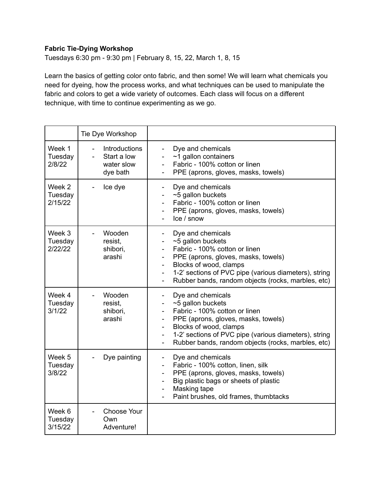## **Fabric Tie-Dying Workshop**

Tuesdays 6:30 pm - 9:30 pm | February 8, 15, 22, March 1, 8, 15

Learn the basics of getting color onto fabric, and then some! We will learn what chemicals you need for dyeing, how the process works, and what techniques can be used to manipulate the fabric and colors to get a wide variety of outcomes. Each class will focus on a different technique, with time to continue experimenting as we go.

|                              | Tie Dye Workshop                                                         |                                                                                                                                                                                                                                                                                     |
|------------------------------|--------------------------------------------------------------------------|-------------------------------------------------------------------------------------------------------------------------------------------------------------------------------------------------------------------------------------------------------------------------------------|
| Week 1<br>Tuesday<br>2/8/22  | Introductions<br>Start a low<br>$\overline{a}$<br>water slow<br>dye bath | Dye and chemicals<br>$~1$ gallon containers<br>Fabric - 100% cotton or linen<br>PPE (aprons, gloves, masks, towels)                                                                                                                                                                 |
| Week 2<br>Tuesday<br>2/15/22 | Ice dye                                                                  | Dye and chemicals<br>~5 gallon buckets<br>Fabric - 100% cotton or linen<br>PPE (aprons, gloves, masks, towels)<br>Ice / snow                                                                                                                                                        |
| Week 3<br>Tuesday<br>2/22/22 | Wooden<br>$\blacksquare$<br>resist,<br>shibori,<br>arashi                | Dye and chemicals<br>~5 gallon buckets<br>Fabric - 100% cotton or linen<br>PPE (aprons, gloves, masks, towels)<br>Blocks of wood, clamps<br>1-2' sections of PVC pipe (various diameters), string<br>Rubber bands, random objects (rocks, marbles, etc)                             |
| Week 4<br>Tuesday<br>3/1/22  | Wooden<br>resist,<br>shibori,<br>arashi                                  | Dye and chemicals<br>~5 gallon buckets<br>Fabric - 100% cotton or linen<br>PPE (aprons, gloves, masks, towels)<br>Blocks of wood, clamps<br>1-2' sections of PVC pipe (various diameters), string<br>Rubber bands, random objects (rocks, marbles, etc)<br>$\overline{\phantom{0}}$ |
| Week 5<br>Tuesday<br>3/8/22  | Dye painting                                                             | Dye and chemicals<br>$\overline{\phantom{a}}$<br>Fabric - 100% cotton, linen, silk<br>PPE (aprons, gloves, masks, towels)<br>Big plastic bags or sheets of plastic<br>Masking tape<br>Paint brushes, old frames, thumbtacks                                                         |
| Week 6<br>Tuesday<br>3/15/22 | <b>Choose Your</b><br>Own<br>Adventure!                                  |                                                                                                                                                                                                                                                                                     |